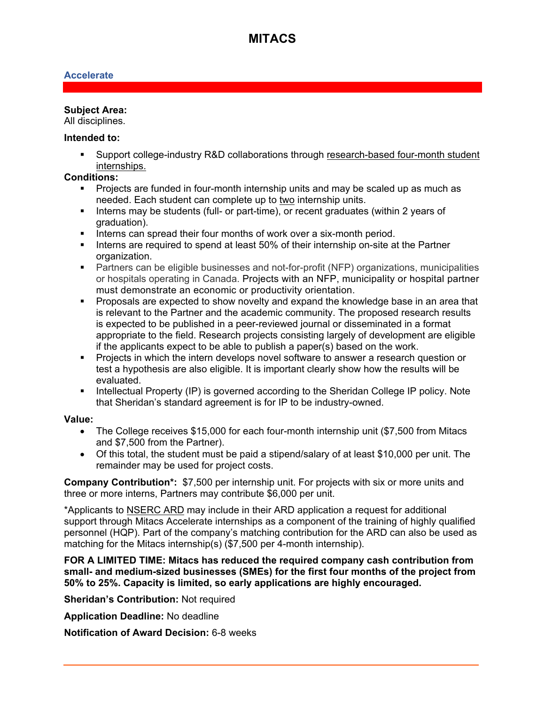# **MITACS**

## **Accelerate**

### **Subject Area:**

All disciplines.

#### **Intended to:**

 Support college-industry R&D collaborations through research-based four-month student internships.

## **Conditions:**

- Projects are funded in four-month internship units and may be scaled up as much as needed. Each student can complete up to two internship units.
- Interns may be students (full- or part-time), or recent graduates (within 2 years of graduation).
- Interns can spread their four months of work over a six-month period.
- Interns are required to spend at least 50% of their internship on-site at the Partner organization.
- Partners can be eligible businesses and not-for-profit (NFP) organizations, municipalities or hospitals operating in Canada. Projects with an NFP, municipality or hospital partner must demonstrate an economic or productivity orientation.
- **Proposals are expected to show novelty and expand the knowledge base in an area that** is relevant to the Partner and the academic community. The proposed research results is expected to be published in a peer-reviewed journal or disseminated in a format appropriate to the field. Research projects consisting largely of development are eligible if the applicants expect to be able to publish a paper(s) based on the work.
- **Projects in which the intern develops novel software to answer a research question or** test a hypothesis are also eligible. It is important clearly show how the results will be evaluated.
- Intellectual Property (IP) is governed according to the Sheridan College IP policy. Note that Sheridan's standard agreement is for IP to be industry-owned.

#### **Value:**

- The College receives \$15,000 for each four-month internship unit (\$7,500 from Mitacs and \$7,500 from the Partner).
- Of this total, the student must be paid a stipend/salary of at least \$10,000 per unit. The remainder may be used for project costs.

**Company Contribution\*:** \$7,500 per internship unit. For projects with six or more units and three or more interns, Partners may contribute \$6,000 per unit.

\*Applicants to [NSERC ARD](https://www.sheridancollege.ca/-/media/files/www/research/sheridan-research/ard-grant.ashx?la=en&hash=76B978CFC3FC724091310EAE151870143D307B7E) may include in their ARD application a request for additional support through Mitacs Accelerate internships as a component of the training of highly qualified personnel (HQP). Part of the company's matching contribution for the ARD can also be used as matching for the Mitacs internship(s) (\$7,500 per 4-month internship).

**FOR A LIMITED TIME: Mitacs has reduced the required company cash contribution from small- and medium-sized businesses (SMEs) for the first four months of the project from 50% to 25%. Capacity is limited, so early applications are highly encouraged.**

**Sheridan's Contribution: Not required** 

**Application Deadline:** No deadline

**Notification of Award Decision:** 6-8 weeks